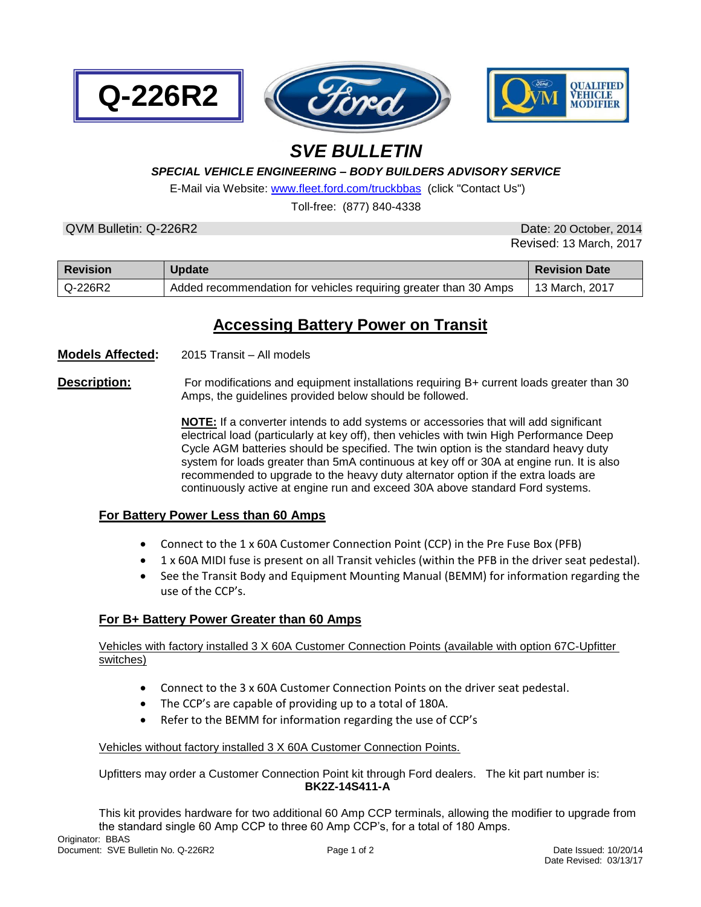



# *SVE BULLETIN*

#### *SPECIAL VEHICLE ENGINEERING – BODY BUILDERS ADVISORY SERVICE*

E-Mail via Website[: www.fleet.ford.com/truckbbas](http://www.fleet.ford.com/truckbbas) (click "Contact Us")

Toll-free: (877) 840-4338

QVM Bulletin: Q-226R2 Date: 20 October, 2014

**Q-226R2**

Revised: 13 March, 2017

| <b>Revision</b> | <b>Update</b>                                                    | <b>Revision Date</b> |
|-----------------|------------------------------------------------------------------|----------------------|
| l Q-226R2       | Added recommendation for vehicles requiring greater than 30 Amps | 13 March, 2017       |

## **Accessing Battery Power on Transit**

**Models Affected:** 2015 Transit – All models

**Description:** For modifications and equipment installations requiring B+ current loads greater than 30 Amps, the guidelines provided below should be followed.

> **NOTE:** If a converter intends to add systems or accessories that will add significant electrical load (particularly at key off), then vehicles with twin High Performance Deep Cycle AGM batteries should be specified. The twin option is the standard heavy duty system for loads greater than 5mA continuous at key off or 30A at engine run. It is also recommended to upgrade to the heavy duty alternator option if the extra loads are continuously active at engine run and exceed 30A above standard Ford systems.

#### **For Battery Power Less than 60 Amps**

- Connect to the 1 x 60A Customer Connection Point (CCP) in the Pre Fuse Box (PFB)
- 1 x 60A MIDI fuse is present on all Transit vehicles (within the PFB in the driver seat pedestal).
- See the Transit Body and Equipment Mounting Manual (BEMM) for information regarding the use of the CCP's.

#### **For B+ Battery Power Greater than 60 Amps**

Vehicles with factory installed 3 X 60A Customer Connection Points (available with option 67C-Upfitter switches)

- Connect to the 3 x 60A Customer Connection Points on the driver seat pedestal.
- The CCP's are capable of providing up to a total of 180A.
- Refer to the BEMM for information regarding the use of CCP's

#### Vehicles without factory installed 3 X 60A Customer Connection Points.

Upfitters may order a Customer Connection Point kit through Ford dealers. The kit part number is: **BK2Z-14S411-A**

This kit provides hardware for two additional 60 Amp CCP terminals, allowing the modifier to upgrade from the standard single 60 Amp CCP to three 60 Amp CCP's, for a total of 180 Amps.